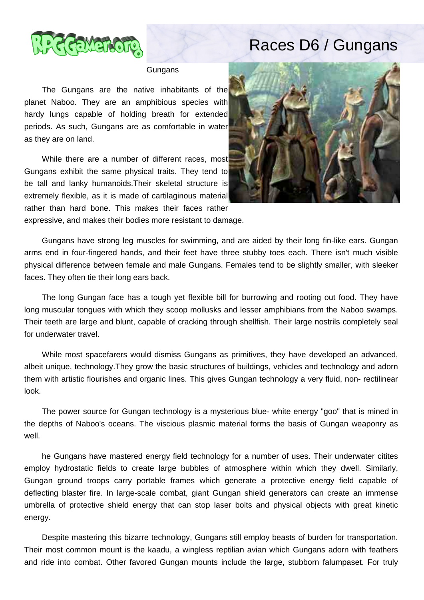

## Races D6 / Gungans

**Gungans** 

 The Gungans are the native inhabitants of the planet Naboo. They are an amphibious species with hardy lungs capable of holding breath for extended periods. As such, Gungans are as comfortable in water as they are on land.

 While there are a number of different races, most Gungans exhibit the same physical traits. They tend to be tall and lanky humanoids.Their skeletal structure is extremely flexible, as it is made of cartilaginous material rather than hard bone. This makes their faces rather



expressive, and makes their bodies more resistant to damage.

 Gungans have strong leg muscles for swimming, and are aided by their long fin-like ears. Gungan arms end in four-fingered hands, and their feet have three stubby toes each. There isn't much visible physical difference between female and male Gungans. Females tend to be slightly smaller, with sleeker faces. They often tie their long ears back.

 The long Gungan face has a tough yet flexible bill for burrowing and rooting out food. They have long muscular tongues with which they scoop mollusks and lesser amphibians from the Naboo swamps. Their teeth are large and blunt, capable of cracking through shellfish. Their large nostrils completely seal for underwater travel.

 While most spacefarers would dismiss Gungans as primitives, they have developed an advanced, albeit unique, technology.They grow the basic structures of buildings, vehicles and technology and adorn them with artistic flourishes and organic lines. This gives Gungan technology a very fluid, non- rectilinear look.

 The power source for Gungan technology is a mysterious blue- white energy "goo" that is mined in the depths of Naboo's oceans. The viscious plasmic material forms the basis of Gungan weaponry as well.

 he Gungans have mastered energy field technology for a number of uses. Their underwater citites employ hydrostatic fields to create large bubbles of atmosphere within which they dwell. Similarly, Gungan ground troops carry portable frames which generate a protective energy field capable of deflecting blaster fire. In large-scale combat, giant Gungan shield generators can create an immense umbrella of protective shield energy that can stop laser bolts and physical objects with great kinetic energy.

 Despite mastering this bizarre technology, Gungans still employ beasts of burden for transportation. Their most common mount is the kaadu, a wingless reptilian avian which Gungans adorn with feathers and ride into combat. Other favored Gungan mounts include the large, stubborn falumpaset. For truly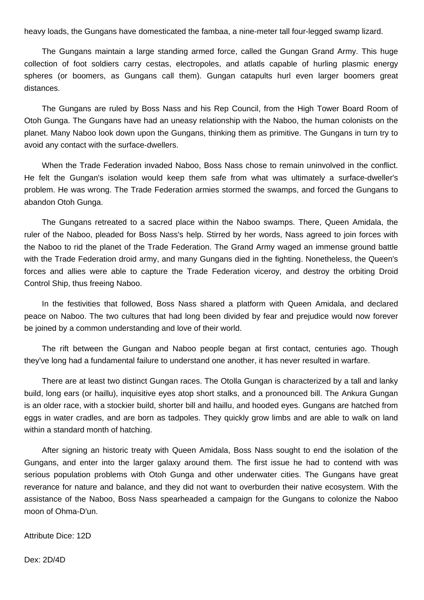heavy loads, the Gungans have domesticated the fambaa, a nine-meter tall four-legged swamp lizard.

 The Gungans maintain a large standing armed force, called the Gungan Grand Army. This huge collection of foot soldiers carry cestas, electropoles, and atlatls capable of hurling plasmic energy spheres (or boomers, as Gungans call them). Gungan catapults hurl even larger boomers great distances.

 The Gungans are ruled by Boss Nass and his Rep Council, from the High Tower Board Room of Otoh Gunga. The Gungans have had an uneasy relationship with the Naboo, the human colonists on the planet. Many Naboo look down upon the Gungans, thinking them as primitive. The Gungans in turn try to avoid any contact with the surface-dwellers.

 When the Trade Federation invaded Naboo, Boss Nass chose to remain uninvolved in the conflict. He felt the Gungan's isolation would keep them safe from what was ultimately a surface-dweller's problem. He was wrong. The Trade Federation armies stormed the swamps, and forced the Gungans to abandon Otoh Gunga.

 The Gungans retreated to a sacred place within the Naboo swamps. There, Queen Amidala, the ruler of the Naboo, pleaded for Boss Nass's help. Stirred by her words, Nass agreed to join forces with the Naboo to rid the planet of the Trade Federation. The Grand Army waged an immense ground battle with the Trade Federation droid army, and many Gungans died in the fighting. Nonetheless, the Queen's forces and allies were able to capture the Trade Federation viceroy, and destroy the orbiting Droid Control Ship, thus freeing Naboo.

 In the festivities that followed, Boss Nass shared a platform with Queen Amidala, and declared peace on Naboo. The two cultures that had long been divided by fear and prejudice would now forever be joined by a common understanding and love of their world.

 The rift between the Gungan and Naboo people began at first contact, centuries ago. Though they've long had a fundamental failure to understand one another, it has never resulted in warfare.

 There are at least two distinct Gungan races. The Otolla Gungan is characterized by a tall and lanky build, long ears (or haillu), inquisitive eyes atop short stalks, and a pronounced bill. The Ankura Gungan is an older race, with a stockier build, shorter bill and haillu, and hooded eyes. Gungans are hatched from eggs in water cradles, and are born as tadpoles. They quickly grow limbs and are able to walk on land within a standard month of hatching.

 After signing an historic treaty with Queen Amidala, Boss Nass sought to end the isolation of the Gungans, and enter into the larger galaxy around them. The first issue he had to contend with was serious population problems with Otoh Gunga and other underwater cities. The Gungans have great reverance for nature and balance, and they did not want to overburden their native ecosystem. With the assistance of the Naboo, Boss Nass spearheaded a campaign for the Gungans to colonize the Naboo moon of Ohma-D'un.

Attribute Dice: 12D

Dex: 2D/4D